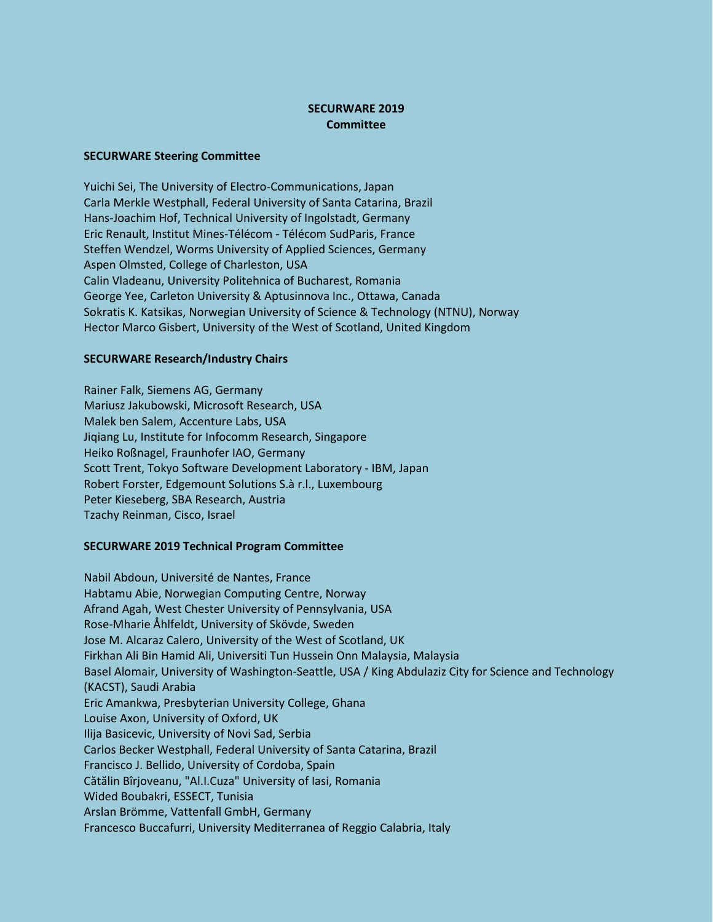## **SECURWARE 2019 Committee**

## **SECURWARE Steering Committee**

Yuichi Sei, The University of Electro-Communications, Japan Carla Merkle Westphall, Federal University of Santa Catarina, Brazil Hans-Joachim Hof, Technical University of Ingolstadt, Germany Eric Renault, Institut Mines-Télécom - Télécom SudParis, France Steffen Wendzel, Worms University of Applied Sciences, Germany Aspen Olmsted, College of Charleston, USA Calin Vladeanu, University Politehnica of Bucharest, Romania George Yee, Carleton University & Aptusinnova Inc., Ottawa, Canada Sokratis K. Katsikas, Norwegian University of Science & Technology (NTNU), Norway Hector Marco Gisbert, University of the West of Scotland, United Kingdom

## **SECURWARE Research/Industry Chairs**

Rainer Falk, Siemens AG, Germany Mariusz Jakubowski, Microsoft Research, USA Malek ben Salem, Accenture Labs, USA Jiqiang Lu, Institute for Infocomm Research, Singapore Heiko Roßnagel, Fraunhofer IAO, Germany Scott Trent, Tokyo Software Development Laboratory - IBM, Japan Robert Forster, Edgemount Solutions S.à r.l., Luxembourg Peter Kieseberg, SBA Research, Austria Tzachy Reinman, Cisco, Israel

## **SECURWARE 2019 Technical Program Committee**

Nabil Abdoun, Université de Nantes, France Habtamu Abie, Norwegian Computing Centre, Norway Afrand Agah, West Chester University of Pennsylvania, USA Rose-Mharie Åhlfeldt, University of Skövde, Sweden Jose M. Alcaraz Calero, University of the West of Scotland, UK Firkhan Ali Bin Hamid Ali, Universiti Tun Hussein Onn Malaysia, Malaysia Basel Alomair, University of Washington-Seattle, USA / King Abdulaziz City for Science and Technology (KACST), Saudi Arabia Eric Amankwa, Presbyterian University College, Ghana Louise Axon, University of Oxford, UK Ilija Basicevic, University of Novi Sad, Serbia Carlos Becker Westphall, Federal University of Santa Catarina, Brazil Francisco J. Bellido, University of Cordoba, Spain Cătălin Bîrjoveanu, "Al.I.Cuza" University of Iasi, Romania Wided Boubakri, ESSECT, Tunisia Arslan Brömme, Vattenfall GmbH, Germany Francesco Buccafurri, University Mediterranea of Reggio Calabria, Italy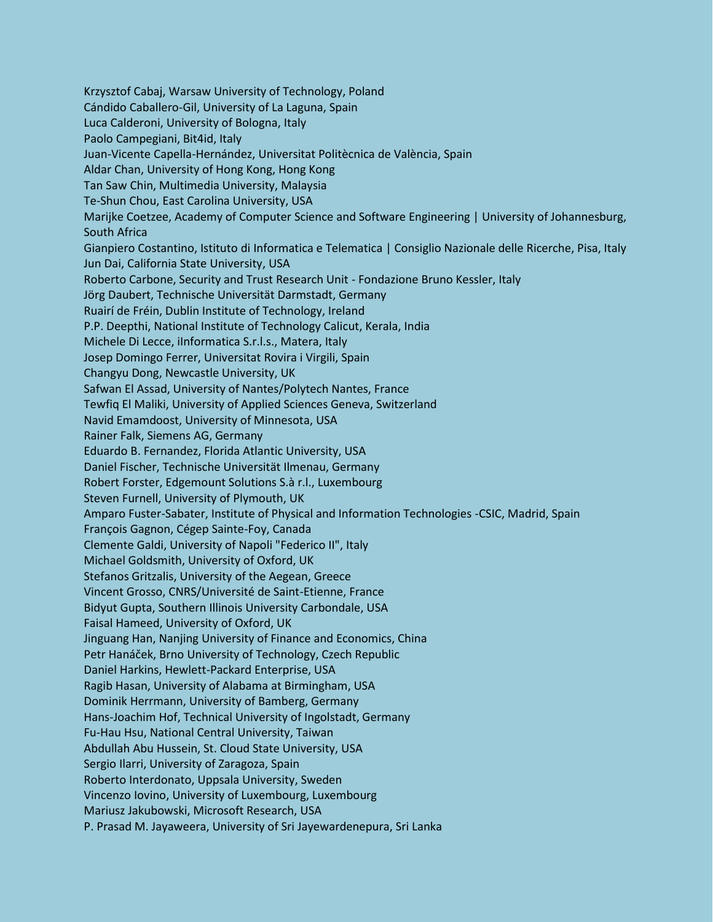Krzysztof Cabaj, Warsaw University of Technology, Poland Cándido Caballero-Gil, University of La Laguna, Spain Luca Calderoni, University of Bologna, Italy Paolo Campegiani, Bit4id, Italy Juan-Vicente Capella-Hernández, Universitat Politècnica de València, Spain Aldar Chan, University of Hong Kong, Hong Kong Tan Saw Chin, Multimedia University, Malaysia Te-Shun Chou, East Carolina University, USA Marijke Coetzee, Academy of Computer Science and Software Engineering | University of Johannesburg, South Africa Gianpiero Costantino, Istituto di Informatica e Telematica | Consiglio Nazionale delle Ricerche, Pisa, Italy Jun Dai, California State University, USA Roberto Carbone, Security and Trust Research Unit - Fondazione Bruno Kessler, Italy Jörg Daubert, Technische Universität Darmstadt, Germany Ruairí de Fréin, Dublin Institute of Technology, Ireland P.P. Deepthi, National Institute of Technology Calicut, Kerala, India Michele Di Lecce, iInformatica S.r.l.s., Matera, Italy Josep Domingo Ferrer, Universitat Rovira i Virgili, Spain Changyu Dong, Newcastle University, UK Safwan El Assad, University of Nantes/Polytech Nantes, France Tewfiq El Maliki, University of Applied Sciences Geneva, Switzerland Navid Emamdoost, University of Minnesota, USA Rainer Falk, Siemens AG, Germany Eduardo B. Fernandez, Florida Atlantic University, USA Daniel Fischer, Technische Universität Ilmenau, Germany Robert Forster, Edgemount Solutions S.à r.l., Luxembourg Steven Furnell, University of Plymouth, UK Amparo Fuster-Sabater, Institute of Physical and Information Technologies -CSIC, Madrid, Spain François Gagnon, Cégep Sainte-Foy, Canada Clemente Galdi, University of Napoli "Federico II", Italy Michael Goldsmith, University of Oxford, UK Stefanos Gritzalis, University of the Aegean, Greece Vincent Grosso, CNRS/Université de Saint-Etienne, France Bidyut Gupta, Southern Illinois University Carbondale, USA Faisal Hameed, University of Oxford, UK Jinguang Han, Nanjing University of Finance and Economics, China Petr Hanáček, Brno University of Technology, Czech Republic Daniel Harkins, Hewlett-Packard Enterprise, USA Ragib Hasan, University of Alabama at Birmingham, USA Dominik Herrmann, University of Bamberg, Germany Hans-Joachim Hof, Technical University of Ingolstadt, Germany Fu-Hau Hsu, National Central University, Taiwan Abdullah Abu Hussein, St. Cloud State University, USA Sergio Ilarri, University of Zaragoza, Spain Roberto Interdonato, Uppsala University, Sweden Vincenzo Iovino, University of Luxembourg, Luxembourg Mariusz Jakubowski, Microsoft Research, USA P. Prasad M. Jayaweera, University of Sri Jayewardenepura, Sri Lanka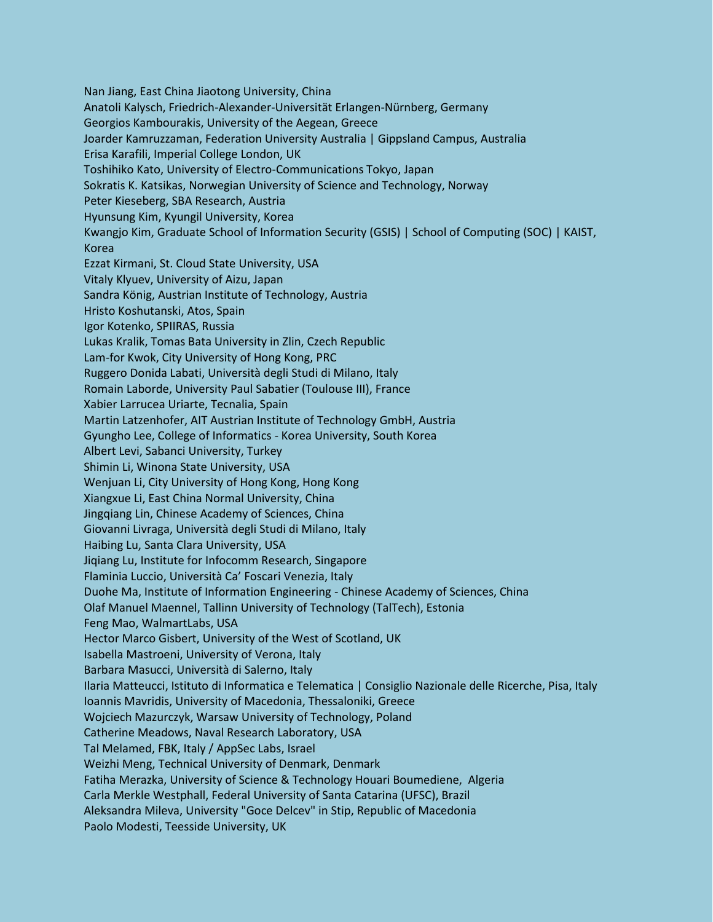Nan Jiang, East China Jiaotong University, China Anatoli Kalysch, Friedrich-Alexander-Universität Erlangen-Nürnberg, Germany Georgios Kambourakis, University of the Aegean, Greece Joarder Kamruzzaman, Federation University Australia | Gippsland Campus, Australia Erisa Karafili, Imperial College London, UK Toshihiko Kato, University of Electro-Communications Tokyo, Japan Sokratis K. Katsikas, Norwegian University of Science and Technology, Norway Peter Kieseberg, SBA Research, Austria Hyunsung Kim, Kyungil University, Korea Kwangjo Kim, Graduate School of Information Security (GSIS) | School of Computing (SOC) | KAIST, Korea Ezzat Kirmani, St. Cloud State University, USA Vitaly Klyuev, University of Aizu, Japan Sandra König, Austrian Institute of Technology, Austria Hristo Koshutanski, Atos, Spain Igor Kotenko, SPIIRAS, Russia Lukas Kralik, Tomas Bata University in Zlin, Czech Republic Lam-for Kwok, City University of Hong Kong, PRC Ruggero Donida Labati, Università degli Studi di Milano, Italy Romain Laborde, University Paul Sabatier (Toulouse III), France Xabier Larrucea Uriarte, Tecnalia, Spain Martin Latzenhofer, AIT Austrian Institute of Technology GmbH, Austria Gyungho Lee, College of Informatics - Korea University, South Korea Albert Levi, Sabanci University, Turkey Shimin Li, Winona State University, USA Wenjuan Li, City University of Hong Kong, Hong Kong Xiangxue Li, East China Normal University, China Jingqiang Lin, Chinese Academy of Sciences, China Giovanni Livraga, Università degli Studi di Milano, Italy Haibing Lu, Santa Clara University, USA Jiqiang Lu, Institute for Infocomm Research, Singapore Flaminia Luccio, Università Ca' Foscari Venezia, Italy Duohe Ma, Institute of Information Engineering - Chinese Academy of Sciences, China Olaf Manuel Maennel, Tallinn University of Technology (TalTech), Estonia Feng Mao, WalmartLabs, USA Hector Marco Gisbert, University of the West of Scotland, UK Isabella Mastroeni, University of Verona, Italy Barbara Masucci, Università di Salerno, Italy Ilaria Matteucci, Istituto di Informatica e Telematica | Consiglio Nazionale delle Ricerche, Pisa, Italy Ioannis Mavridis, University of Macedonia, Thessaloniki, Greece Wojciech Mazurczyk, Warsaw University of Technology, Poland Catherine Meadows, Naval Research Laboratory, USA Tal Melamed, FBK, Italy / AppSec Labs, Israel Weizhi Meng, Technical University of Denmark, Denmark Fatiha Merazka, University of Science & Technology Houari Boumediene, Algeria Carla Merkle Westphall, Federal University of Santa Catarina (UFSC), Brazil Aleksandra Mileva, University "Goce Delcev" in Stip, Republic of Macedonia Paolo Modesti, Teesside University, UK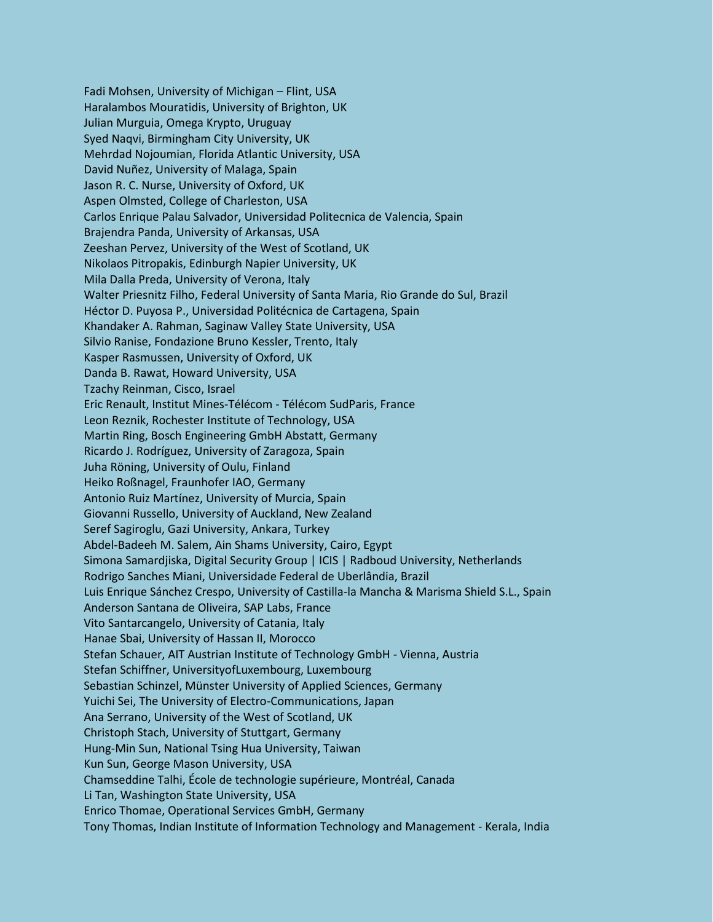Fadi Mohsen, University of Michigan – Flint, USA Haralambos Mouratidis, University of Brighton, UK Julian Murguia, Omega Krypto, Uruguay Syed Naqvi, Birmingham City University, UK Mehrdad Nojoumian, Florida Atlantic University, USA David Nuñez, University of Malaga, Spain Jason R. C. Nurse, University of Oxford, UK Aspen Olmsted, College of Charleston, USA Carlos Enrique Palau Salvador, Universidad Politecnica de Valencia, Spain Brajendra Panda, University of Arkansas, USA Zeeshan Pervez, University of the West of Scotland, UK Nikolaos Pitropakis, Edinburgh Napier University, UK Mila Dalla Preda, University of Verona, Italy Walter Priesnitz Filho, Federal University of Santa Maria, Rio Grande do Sul, Brazil Héctor D. Puyosa P., Universidad Politécnica de Cartagena, Spain Khandaker A. Rahman, Saginaw Valley State University, USA Silvio Ranise, Fondazione Bruno Kessler, Trento, Italy Kasper Rasmussen, University of Oxford, UK Danda B. Rawat, Howard University, USA Tzachy Reinman, Cisco, Israel Eric Renault, Institut Mines-Télécom - Télécom SudParis, France Leon Reznik, Rochester Institute of Technology, USA Martin Ring, Bosch Engineering GmbH Abstatt, Germany Ricardo J. Rodríguez, University of Zaragoza, Spain Juha Röning, University of Oulu, Finland Heiko Roßnagel, Fraunhofer IAO, Germany Antonio Ruiz Martínez, University of Murcia, Spain Giovanni Russello, University of Auckland, New Zealand Seref Sagiroglu, Gazi University, Ankara, Turkey Abdel-Badeeh M. Salem, Ain Shams University, Cairo, Egypt Simona Samardjiska, Digital Security Group | ICIS | Radboud University, Netherlands Rodrigo Sanches Miani, Universidade Federal de Uberlândia, Brazil Luis Enrique Sánchez Crespo, University of Castilla-la Mancha & Marisma Shield S.L., Spain Anderson Santana de Oliveira, SAP Labs, France Vito Santarcangelo, University of Catania, Italy Hanae Sbai, University of Hassan II, Morocco Stefan Schauer, AIT Austrian Institute of Technology GmbH - Vienna, Austria Stefan Schiffner, UniversityofLuxembourg, Luxembourg Sebastian Schinzel, Münster University of Applied Sciences, Germany Yuichi Sei, The University of Electro-Communications, Japan Ana Serrano, University of the West of Scotland, UK Christoph Stach, University of Stuttgart, Germany Hung-Min Sun, National Tsing Hua University, Taiwan Kun Sun, George Mason University, USA Chamseddine Talhi, École de technologie supérieure, Montréal, Canada Li Tan, Washington State University, USA Enrico Thomae, Operational Services GmbH, Germany Tony Thomas, Indian Institute of Information Technology and Management - Kerala, India